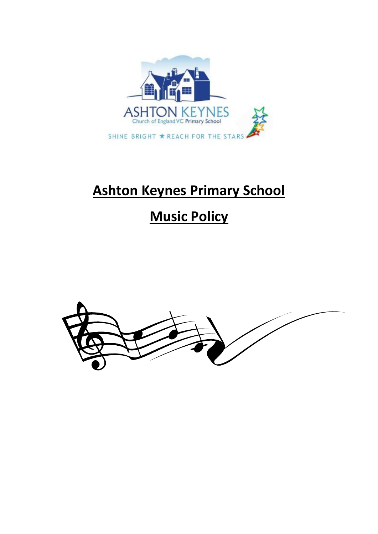

# **Ashton Keynes Primary School**

# **Music Policy**

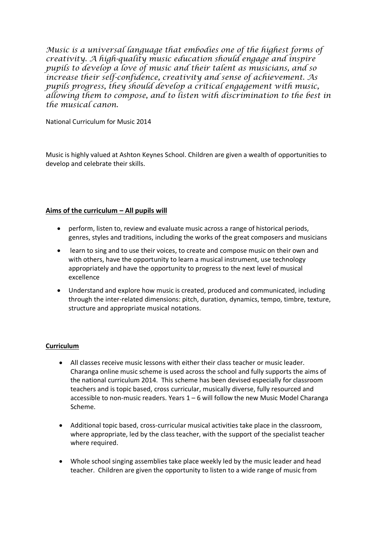*Music is a universal language that embodies one of the highest forms of creativity. A high-quality music education should engage and inspire pupils to develop a love of music and their talent as musicians, and so increase their self-confidence, creativity and sense of achievement. As pupils progress, they should develop a critical engagement with music, allowing them to compose, and to listen with discrimination to the best in the musical canon.* 

National Curriculum for Music 2014

Music is highly valued at Ashton Keynes School. Children are given a wealth of opportunities to develop and celebrate their skills.

## **Aims of the curriculum – All pupils will**

- perform, listen to, review and evaluate music across a range of historical periods, genres, styles and traditions, including the works of the great composers and musicians
- learn to sing and to use their voices, to create and compose music on their own and with others, have the opportunity to learn a musical instrument, use technology appropriately and have the opportunity to progress to the next level of musical excellence
- Understand and explore how music is created, produced and communicated, including through the inter-related dimensions: pitch, duration, dynamics, tempo, timbre, texture, structure and appropriate musical notations.

#### **Curriculum**

- All classes receive music lessons with either their class teacher or music leader. Charanga online music scheme is used across the school and fully supports the aims of the national curriculum 2014. This scheme has been devised especially for classroom teachers and is topic based, cross curricular, musically diverse, fully resourced and accessible to non-music readers. Years  $1 - 6$  will follow the new Music Model Charanga Scheme.
- Additional topic based, cross-curricular musical activities take place in the classroom, where appropriate, led by the class teacher, with the support of the specialist teacher where required.
- Whole school singing assemblies take place weekly led by the music leader and head teacher. Children are given the opportunity to listen to a wide range of music from